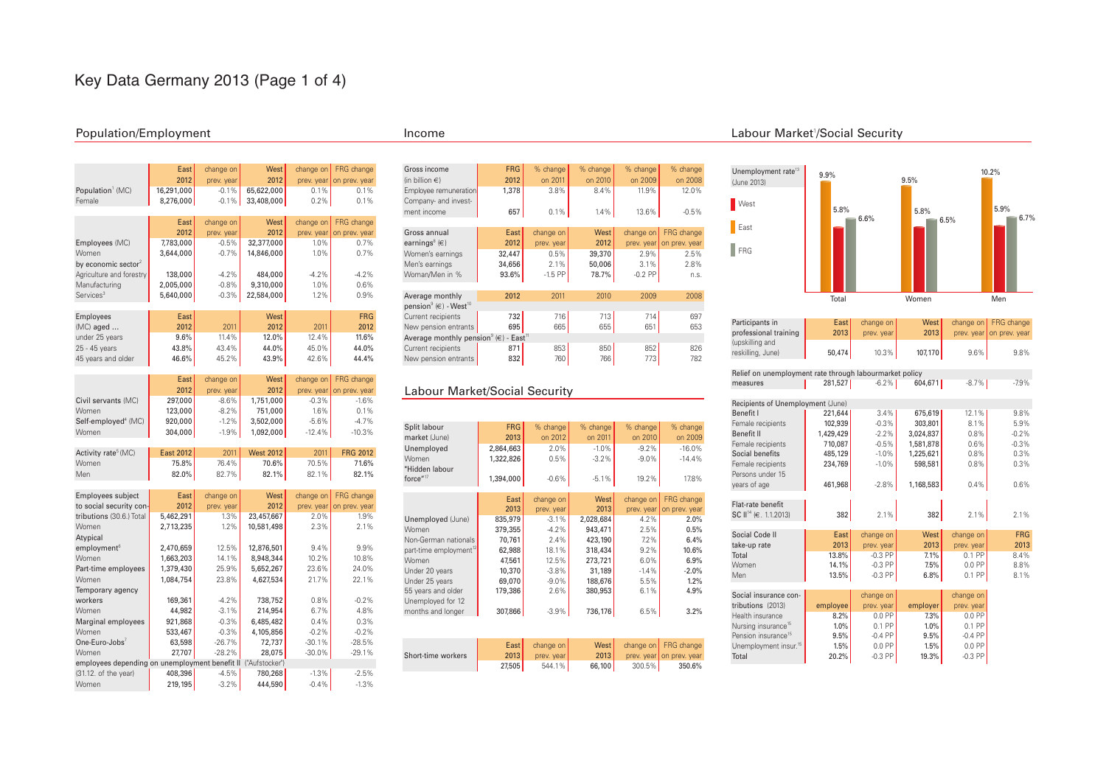# Key Data Germany 2013 (Page 1 of 4)

### Population/Employment Income

|                                 | East<br>2012      | change on<br>prev. year | West  <br>2012 | change on<br>prev. year | FRG change<br>on prev. year |
|---------------------------------|-------------------|-------------------------|----------------|-------------------------|-----------------------------|
| Population <sup>1</sup> (MC)    | 16,291,000        | $-0.1%$                 | 65,622,000     | 0.1%                    | 0.1%                        |
| Female                          | 8,276,000         | $-0.1%$                 | 33,408,000     | 0.2%                    | 0.1%                        |
|                                 |                   |                         |                |                         |                             |
|                                 | East              | change on               | West           | change on               | FRG change                  |
|                                 | 2012              | prev. year              | 2012           | prev. year              | on prev. year               |
| Employees (MC)                  | 7,783,000         | $-0.5%$                 | 32,377,000     | 1.0%                    | 0.7%                        |
| Women                           | 3.644.000         | $-0.7%$                 | 14.846.000     | 1.0%                    | 0.7%                        |
| by economic sector <sup>2</sup> |                   |                         |                |                         |                             |
| Agriculture and forestry        | 138,000           | $-4.2%$                 | 484.000        | $-4.2%$                 | $-4.2%$                     |
| Manufacturing                   | 2,005,000         | $-0.8%$                 | 9,310,000      | 1.0%                    | 0.6%                        |
| Services <sup>3</sup>           | 5,640,000         | $-0.3%$                 | 22,584,000     | 1.2%                    | 0.9%                        |
|                                 |                   |                         |                |                         |                             |
| Employees                       | East <sup> </sup> |                         | West           |                         | <b>FRG</b>                  |
| $(MC)$ aged $\dots$             | 2012              | 2011                    | 2012           | 2011                    | 2012                        |
| under 25 years                  | 9.6%              | 11.4%                   | 12.0%          | 12.4%                   | 11.6%                       |
| 25 - 45 years                   | 43.8%             | 43.4%                   | 44.0%          | 45.0%                   | 44.0%                       |
| 45 years and older              | 46.6%             | 45.2%                   | 43.9%          | 42.6%                   | 44.4%                       |

|                                 | East    | change on  | West      |           | change on FRG change     |
|---------------------------------|---------|------------|-----------|-----------|--------------------------|
|                                 | 2012    | prev. year | 2012      |           | prev. year on prev. year |
| Civil servants (MC)             | 297,000 | $-8.6%$    | 1,751,000 | $-0.3%$   | $-1.6%$                  |
| Women                           | 123,000 | $-8.2%$    | 751,000   | 1.6%      | 0.1%                     |
| Self-employed <sup>4</sup> (MC) | 920.000 | $-1.2%$    | 3.502.000 | $-5.6%$   | $-4.7%$                  |
| Women                           | 304.000 | $-1.9%$    | 1.092.000 | $-12.4\%$ | $-10.3%$                 |

| Activity rate <sup>5</sup> (MC) | East 2012 | 2011    | <b>West 2012</b> | 2011     | <b>FRG 2012</b> |
|---------------------------------|-----------|---------|------------------|----------|-----------------|
| Women                           | 75.8%     | 76.4% I | 70.6% L          | 70.5% l  | 71.6%           |
| Men                             | $82.0\%$  | 82.7%   | $82.1\%$         | $82.1\%$ | 82.1%           |

| Employees subject                              | East      | change on  | West           | change on  | FRG change    |
|------------------------------------------------|-----------|------------|----------------|------------|---------------|
| to social security con-                        | 2012      | prev. year | 2012           | prev. year | on prev. year |
| tributions (30.6.) Total                       | 5,462,291 | 1.3%       | 23,457,667     | 2.0%       | 1.9%          |
| Women                                          | 2,713,235 | 1.2%       | 10,581,498     | 2.3%       | 2.1%          |
| Atypical                                       |           |            |                |            |               |
| employment <sup>6</sup>                        | 2,470,659 | 12.5%      | 12,876,501     | 9.4%       | 9.9%          |
| Women                                          | 1,663,203 | 14.1%      | 8,948,344      | 10.2%      | 10.8%         |
| Part-time employees                            | 1,379,430 | 25.9%      | 5,652,267      | 23.6%      | 24.0%         |
| Women                                          | 1,084,754 | 23.8%      | 4,627,534      | 21.7%      | 22.1%         |
| Temporary agency                               |           |            |                |            |               |
| workers                                        | 169.361   | $-4.2%$    | 738,752        | 0.8%       | $-0.2%$       |
| Women                                          | 44.982    | $-3.1%$    | 214,954        | 6.7%       | 4.8%          |
| Marginal employees                             | 921.868   | $-0.3%$    | 6,485,482      | 0.4%       | 0.3%          |
| Women                                          | 533,467   | $-0.3%$    | 4,105,856      | $-0.2%$    | $-0.2%$       |
| One-Euro-Jobs $7$                              | 63,598    | $-26.7%$   | 72,737         | $-30.1%$   | $-28.5%$      |
| Women                                          | 27,707    | $-28.2%$   | 28,075         | $-30.0%$   | $-29.1%$      |
| employees depending on unemployment benefit II |           |            | ("Aufstocker") |            |               |
| (31.12. of the year)                           | 408,396   | $-4.5%$    | 780,268        | $-1.3%$    | $-2.5%$       |
| Women                                          | 219,195   | $-3.2%$    | 444,590        | $-0.4%$    | $-1.3%$       |

| Gross income                                                        | <b>FRG</b> | % change   | % change | % change   | % change      |
|---------------------------------------------------------------------|------------|------------|----------|------------|---------------|
| (in billion $\epsilon$ )                                            | 2012       | on 2011    | on 2010  | on 2009    | on 2008       |
| Employee remuneration                                               | 1.378      | 3.8%       | 8.4%     | 11.9%      | 12.0%         |
| Company- and invest-                                                |            |            |          |            |               |
| ment income                                                         | 657        | 0.1%       | 1.4%     | 13.6%      | $-0.5%$       |
|                                                                     |            |            |          |            |               |
| Gross annual                                                        | East       | change on  | West     | change on  | FRG change    |
| earnings <sup>8</sup> $(e)$                                         | 2012       | prev. year | 2012     | prev. year | on prev. year |
| Women's earnings                                                    | 32,447     | 0.5%       | 39,370   | 2.9%       | 2.5%          |
| Men's earnings                                                      | 34,656     | 2.1%       | 50,006   | 3.1%       | 2.8%          |
| Woman/Men in %                                                      | 93.6%      | $-1.5$ PP  | 78.7%    | $-0.2$ PP  | n.S.          |
|                                                                     |            |            |          |            |               |
| Average monthly                                                     | 2012       | 2011       | 2010     | 2009       | 2008          |
| pension <sup>9</sup> ( $\in$ ) - West <sup>10</sup>                 |            |            |          |            |               |
| Current recipients                                                  | 732        | 716        | 713      | 714        | 697           |
| New pension entrants                                                | 695        | 665        | 655      | 651        | 653           |
| Average monthly pension <sup>9</sup> ( $\in$ ) - East <sup>11</sup> |            |            |          |            |               |
| Current recipients                                                  | 871        | 853        | 850      | 852        | 826           |
| New pension entrants                                                | 832        | 760        | 766      | 773        | 782           |

### Labour Market/Social Security

| Split labour   | FRG       | $%$ change | $%$ change | % change | % change |
|----------------|-----------|------------|------------|----------|----------|
| market (June)  | 2013      | on 2012    | on 2011    | on 2010  | on 2009  |
| Unemployed     | 2.864.663 | 2.0%       | $-1.0\%$   | $-9.2%$  | $-16.0%$ |
| Women          | 1,322,826 | 0.5%       | $-3.2%$    | $-9.0\%$ | $-14.4%$ |
| "Hidden labour |           |            |            |          |          |
| force $17$     | 1,394,000 | $-0.6%$    | $-5.1%$    | 19.2%    | 17.8%    |

|                                    | East    | change on  | West      | change on  | FRG change    |
|------------------------------------|---------|------------|-----------|------------|---------------|
|                                    | 2013    | prev. year | 2013      | prev. year | on prev. year |
| Unemployed (June)                  | 835,979 | $-3.1%$    | 2,028,684 | 4.2%       | 2.0%          |
| Women                              | 379.355 | $-4.2%$    | 943.471   | 2.5%       | 0.5%          |
| Non-German nationals               | 70.761  | 2.4%       | 423.190   | 7.2%       | 6.4%          |
| part-time employment <sup>12</sup> | 62,988  | 18.1%      | 318,434   | 9.2%       | 10.6%         |
| Women                              | 47.561  | 12.5%      | 273.721   | 6.0%       | 6.9%          |
| Under 20 years                     | 10,370  | $-3.8%$    | 31,189    | $-1.4%$    | $-2.0%$       |
| Under 25 years                     | 69,070  | $-9.0%$    | 188.676   | 5.5%       | 1.2%          |
| 55 years and older                 | 179,386 | 2.6%       | 380.953   | 6.1%       | 4.9%          |
| Unemployed for 12                  |         |            |           |            |               |
| months and longer                  | 307,866 | $-3.9\%$   | 736,176   | 6.5%       | 3.2%          |
|                                    |         |            |           |            |               |
|                                    |         |            |           |            |               |
|                                    | East    | change on  | West      | change on  | FRG change    |
| Short-time workers                 | 2013    | prev. year | 2013      | prev. year | on prev. year |
|                                    | 27,505  | 544.1%     | 66,100    | 300.5%     | 350.6%        |
|                                    |         |            |           |            |               |

#### 1 /Social Security



| Participants in                                         | East I    | change on  | West      |            | change on FRG change |  |  |  |  |
|---------------------------------------------------------|-----------|------------|-----------|------------|----------------------|--|--|--|--|
| professional training                                   | 2013      | prev. year | 2013      | prev. year | on prev. year        |  |  |  |  |
| (upskilling and                                         |           |            |           |            |                      |  |  |  |  |
| reskilling, June)                                       | 50,474    | 10.3%      | 107,170   | 9.6%       | 9.8%                 |  |  |  |  |
|                                                         |           |            |           |            |                      |  |  |  |  |
| Relief on unemployment rate through labourmarket policy |           |            |           |            |                      |  |  |  |  |
| measures                                                | 281,527   | $-6.2%$    | 604,671   | $-8.7%$    | $-7.9%$              |  |  |  |  |
|                                                         |           |            |           |            |                      |  |  |  |  |
| Recipients of Unemployment (June)                       |           |            |           |            |                      |  |  |  |  |
| Benefit I                                               | 221,644   | 3.4%       | 675,619   | 12.1%      | 9.8%                 |  |  |  |  |
| Female recipients                                       | 102,939   | $-0.3%$    | 303,801   | 8.1%       | 5.9%                 |  |  |  |  |
| Benefit II                                              | 1,429,429 | $-2.2%$    | 3,024,837 | 0.8%       | $-0.2%$              |  |  |  |  |
| Female recipients                                       | 710.087   | $-0.5%$    | 1.581.878 | 0.6%       | $-0.3%$              |  |  |  |  |
| Social benefits                                         | 485,129   | $-1.0%$    | 1,225,621 | 0.8%       | 0.3%                 |  |  |  |  |
| Female recipients                                       | 234,769   | $-1.0%$    | 598,581   | 0.8%       | 0.3%                 |  |  |  |  |
| Persons under 15                                        |           |            |           |            |                      |  |  |  |  |
| years of age                                            | 461,968   | $-2.8%$    | 1,168,583 | 0.4%       | 0.6%                 |  |  |  |  |
|                                                         |           |            |           |            |                      |  |  |  |  |
| Flat-rate benefit                                       |           |            |           |            |                      |  |  |  |  |
| SC II <sup>14</sup> (€. 1.1.2013)                       | 382       | 2.1%       | 382       | 2.1%       | 2.1%                 |  |  |  |  |
|                                                         |           |            |           |            |                      |  |  |  |  |
| Social Code II                                          | East      | change on  | West      | change on  | <b>FRG</b>           |  |  |  |  |
| take-up rate                                            | 2013      | prev. year | 2013      | prev. year | 2013                 |  |  |  |  |
| Total                                                   | 13.8%     | $-0.3$ PP  | 7.1%      | $0.1$ PP   | 8.4%                 |  |  |  |  |
| Women                                                   | 14.1%     | $-0.3$ PP  | 7.5%      | $0.0$ PP   | 8.8%                 |  |  |  |  |
| Men                                                     | 13.5%     | $-0.3$ PP  | 6.8%      | 0.1 PP     | 8.1%                 |  |  |  |  |
|                                                         |           |            |           |            |                      |  |  |  |  |
| Social insurance con-                                   |           | change on  |           | change on  |                      |  |  |  |  |
| tributions (2013)                                       | employee  | prev. year | employer  | prev. year |                      |  |  |  |  |
| Health insurance                                        | 8.2%      | $0.0$ PP   | 7.3%      | $0.0$ PP   |                      |  |  |  |  |
| Nursing insurance <sup>15</sup>                         | 1.0%      | 0.1 PP     | 1.0%      | 0.1 PP     |                      |  |  |  |  |
| Pension insurance <sup>15</sup>                         | 9.5%      | $-0.4$ PP  | 9.5%      | $-0.4$ PP  |                      |  |  |  |  |
| Unemployment insur. <sup>15</sup>                       | 1.5%      | $0.0$ PP   | 1.5%      | $0.0$ PP   |                      |  |  |  |  |
| Total                                                   | 20.2%     | $-0.3$ PP  | 19.3%     | $-0.3$ PP  |                      |  |  |  |  |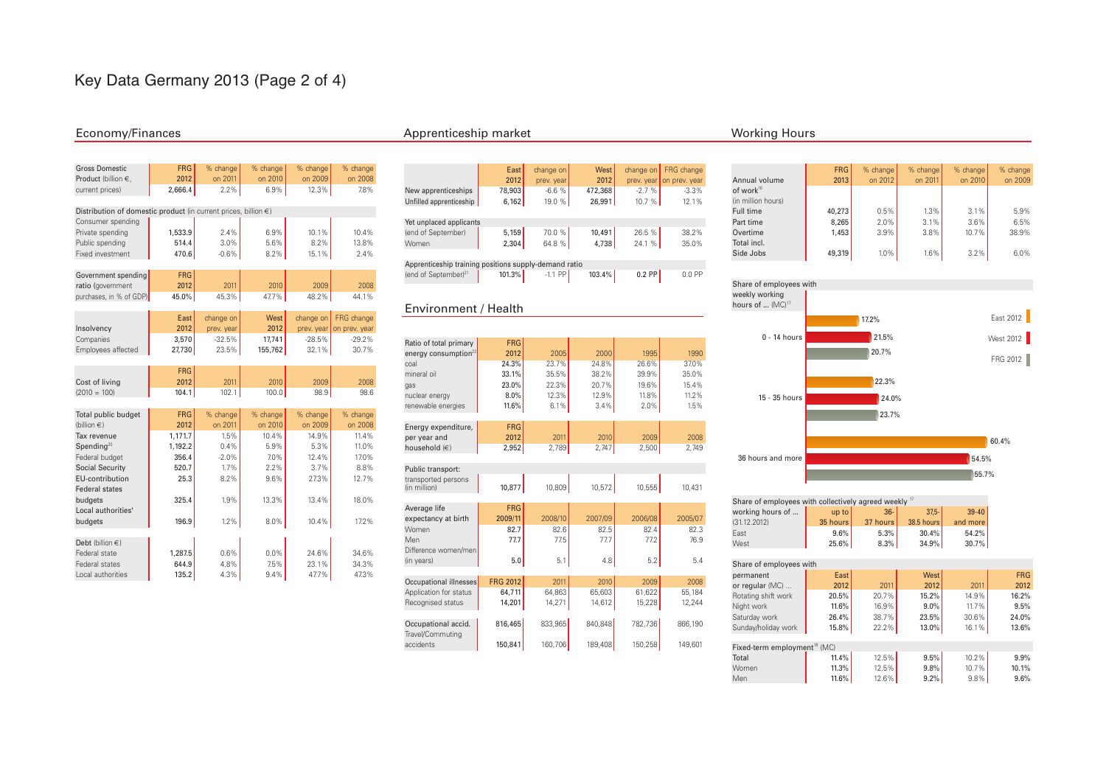# Key Data Germany 2013 (Page 2 of 4)

| <b>Gross Domestic</b>                                                | <b>FRG</b> | % change   | % change | % change   | % change      |
|----------------------------------------------------------------------|------------|------------|----------|------------|---------------|
| Product (billion €.                                                  | 2012       | on 2011    | on 2010  | on 2009    | on 2008       |
| current prices)                                                      | 2,666.4    | 2.2%       | 6.9%     | 12.3%      | 7.8%          |
|                                                                      |            |            |          |            |               |
| Distribution of domestic product (in current prices, billion $\in$ ) |            |            |          |            |               |
| Consumer spending                                                    |            |            |          |            |               |
| Private spending                                                     | 1.533.9    | 2.4%       | 6.9%     | 10.1%      | 10.4%         |
| Public spending                                                      | 514.4      | 3.0%       | 5.6%     | 8.2%       | 13.8%         |
| Fixed investment                                                     | 470.6      | $-0.6%$    | 8.2%     | 15.1%      | 2.4%          |
|                                                                      |            |            |          |            |               |
| Government spending                                                  | <b>FRG</b> |            |          |            |               |
| ratio (government                                                    | 2012       | 2011       | 2010     | 2009       | 2008          |
| purchases, in % of GDP)                                              | 45.0%      | 45.3%      | 47.7%    | 48.2%      | 44.1%         |
|                                                                      |            |            |          |            |               |
|                                                                      | East       | change on  | West     | change on  | FRG change    |
| Insolvency                                                           | 2012       | prev. year | 2012     | prev. year | on prev. year |
| Companies                                                            | 3,570      | $-32.5%$   | 17,741   | $-28.5%$   | $-29.2%$      |
| Employees affected                                                   | 27,730     | 23.5%      | 155,762  | 32.1%      | 30.7%         |
|                                                                      |            |            |          |            |               |
|                                                                      | <b>FRG</b> |            |          |            |               |
| Cost of living                                                       | 2012       | 2011       | 2010     | 2009       | 2008          |
| $(2010 = 100)$                                                       | 104.1      | 102.1      | 100.0    | 98.9       | 98.6          |
|                                                                      |            |            |          |            |               |
| Total public budget                                                  | <b>FRG</b> | % change   | % change | % change   | % change      |
| (billion $\epsilon$ )                                                | 2012       | on 2011    | on 2010  | on 2009    | on 2008       |
| Tax revenue                                                          | 1,171.7    | 1.5%       | 10.4%    | 14.9%      | 11.4%         |
| Spending $20$                                                        | 1.192.2    | 0.4%       | 5.9%     | 5.3%       | 11.0%         |
| Federal budget                                                       | 356.4      | $-2.0%$    | 7.0%     | 12.4%      | 17.0%         |
| <b>Social Security</b>                                               | 520.7      | 1.7%       | 2.2%     | 3.7%       | 8.8%          |
| EU-contribution                                                      | 25.3       | 8.2%       | 9.6%     | 27.3%      | 12.7%         |
| <b>Federal states</b>                                                |            |            |          |            |               |
| budgets                                                              | 325.4      | 1.9%       | 13.3%    | 13.4%      | 18.0%         |
| Local authorities'                                                   |            |            |          |            |               |
| budgets                                                              | 196.9      | 1.2%       | 8.0%     | 10.4%      | 17.2%         |
|                                                                      |            |            |          |            |               |
| Debt (billion $\in$ )                                                |            |            |          |            |               |
| Federal state                                                        | 1.287.5    | 0.6%       | 0.0%     | 24.6%      | 34.6%         |
| Federal states                                                       | 644.9      | 4.8%       | 7.5%     | 23.1%      | 34.3%         |
| Local authorities                                                    | 135.2      | 4.3%       | 9.4%     | 47.7%      | 47.3%         |

### Economy/Finances and the Apprenticeship market Apprenticeship market Working Hours

|                                                       | East   | change on  | West    | change on | FRG change               |  |  |  |
|-------------------------------------------------------|--------|------------|---------|-----------|--------------------------|--|--|--|
|                                                       | 2012   | prev. year | 2012    |           | prev. year on prev. year |  |  |  |
| New apprenticeships                                   | 78,903 | $-6.6%$    | 472,368 | $-2.7%$   | $-3.3%$                  |  |  |  |
| Unfilled apprenticeship                               | 6,162  | 19.0 %     | 26.991  | 10.7%     | 12.1%                    |  |  |  |
|                                                       |        |            |         |           |                          |  |  |  |
| Yet unplaced applicants                               |        |            |         |           |                          |  |  |  |
| (end of September)                                    | 5,159  | 70.0%      | 10,491  | 26.5 %    | 38.2%                    |  |  |  |
| Women                                                 | 2,304  | 64.8 %     | 4,738   | 24.1 %    | 35.0%                    |  |  |  |
|                                                       |        |            |         |           |                          |  |  |  |
| Apprenticeship training positions supply-demand ratio |        |            |         |           |                          |  |  |  |

| ____ |                                  |           |           |        |          |        |
|------|----------------------------------|-----------|-----------|--------|----------|--------|
|      | (end of September) <sup>21</sup> | $101.3\%$ | $-1.1$ PP | 103.4% | $0.2$ PP | 0.0 PP |
|      |                                  |           |           |        |          |        |

#### Environment / Health

Travel/Commuting<br>accidents

| Ratio of total primary     | <b>FRG</b>      |         |         |         |         |
|----------------------------|-----------------|---------|---------|---------|---------|
| energy consumption $^{22}$ | 2012            | 2005    | 2000    | 1995    | 1990    |
| coal                       | 24.3%           | 23.7%   | 24.8%   | 26.6%   | 37.0%   |
| mineral oil                | 33.1%           | 35.5%   | 38.2%   | 39.9%   | 35.0%   |
| gas                        | 23.0%           | 22.3%   | 20.7%   | 19.6%   | 15.4%   |
| nuclear energy             | 8.0%            | 12.3%   | 12.9%   | 11.8%   | 11.2%   |
| renewable energies         | 11.6%           | 6.1%    | 3.4%    | 2.0%    | 1.5%    |
|                            |                 |         |         |         |         |
| Energy expenditure,        | <b>FRG</b>      |         |         |         |         |
| per year and               | 2012            | 2011    | 2010    | 2009    | 2008    |
| household (€)              | 2,952           | 2,789   | 2,747   | 2,500   | 2,749   |
|                            |                 |         |         |         |         |
| Public transport:          |                 |         |         |         |         |
| transported persons        |                 |         |         |         |         |
| (in million)               | 10,877          | 10,809  | 10,572  | 10,555  | 10,431  |
|                            |                 |         |         |         |         |
| Average life               | <b>FRG</b>      |         |         |         |         |
| expectancy at birth        | 2009/11         | 2008/10 | 2007/09 | 2006/08 | 2005/07 |
| Women                      | 82.7            | 82.6    | 82.5    | 82.4    | 82.3    |
| Men                        | 77.7            | 77.5    | 77.7    | 77.2    | 76.9    |
| Difference women/men       |                 |         |         |         |         |
| (in years)                 | 5.0             | 5.1     | 4.8     | 5.2     | 5.4     |
|                            |                 |         |         |         |         |
| Occupational illnesses     | <b>FRG 2012</b> | 2011    | 2010    | 2009    | 2008    |
| Application for status     | 64,711          | 64,863  | 65,603  | 61,622  | 55,184  |
| Recognised status          | 14,201          | 14,271  | 14,612  | 15,228  | 12.244  |

Occupational accid. **816,465** 833,965 840,848 782,736 866,190

150,841 160,706 189,408 150,258 149,601

| Annual volume         | <b>FRG</b><br>2013 | % change<br>on 2012 | % change<br>on 2011 | % change<br>on 2010 | % change<br>on 2009 |
|-----------------------|--------------------|---------------------|---------------------|---------------------|---------------------|
| of work <sup>16</sup> |                    |                     |                     |                     |                     |
| (in million hours)    |                    |                     |                     |                     |                     |
| Full time             | 40.273             | 0.5%                | 1.3%                | 3.1%                | 5.9%                |
| Part time             | 8.265              | 2.0%                | 3.1%                | 3.6%                | 6.5%                |
| Overtime              | 1.453              | 3.9%                | 3.8%                | 10.7%               | 38.9%               |
| Total incl.           |                    |                     |                     |                     |                     |
| Side Jobs             | 49,319             | 1.0%                | 1.6%                | 3.2%                | 6.0%                |



| Share of employees with collectively agreed weekly <sup>17</sup> |          |          |            |           |  |  |  |  |
|------------------------------------------------------------------|----------|----------|------------|-----------|--|--|--|--|
| working hours of                                                 | up to    | $36-$    | $37.5 -$   | $39 - 40$ |  |  |  |  |
| (31.12.2012)                                                     | 35 hours | 37 hours | 38.5 hours | and more  |  |  |  |  |
| East                                                             | 9.6%     | 5.3%     | 30.4%      | 54.2%     |  |  |  |  |
| West                                                             | $25.6\%$ | 8.3%     | 34.9%      | 30.7%     |  |  |  |  |

| Share of employees with                  |       |       |       |       |            |  |  |
|------------------------------------------|-------|-------|-------|-------|------------|--|--|
| permanent                                | East  |       | West  |       | <b>FRG</b> |  |  |
| or regular (MC)                          | 2012  | 2011  | 2012  | 2011  | 2012       |  |  |
| Rotating shift work                      | 20.5% | 20.7% | 15.2% | 14.9% | 16.2%      |  |  |
| Night work                               | 11.6% | 16.9% | 9.0%  | 11.7% | 9.5%       |  |  |
| Saturday work                            | 26.4% | 38.7% | 23.5% | 30.6% | 24.0%      |  |  |
| Sunday/holiday work                      | 15.8% | 22.2% | 13.0% | 16.1% | 13.6%      |  |  |
|                                          |       |       |       |       |            |  |  |
| Fixed-term employment <sup>18</sup> (MC) |       |       |       |       |            |  |  |

| Fixed-term employment" (MC) |          |          |         |          |       |
|-----------------------------|----------|----------|---------|----------|-------|
| Total                       | 11.4%    | 12.5%    | 9.5%    | $10.2\%$ | 9.9%  |
| Women                       | $11.3\%$ | 12.5%.   | 9.8%    | $10.7\%$ | 10.1% |
| Men                         | $11.6\%$ | $12.6\%$ | $9.2\%$ | $9.8\%$  | 9.6%  |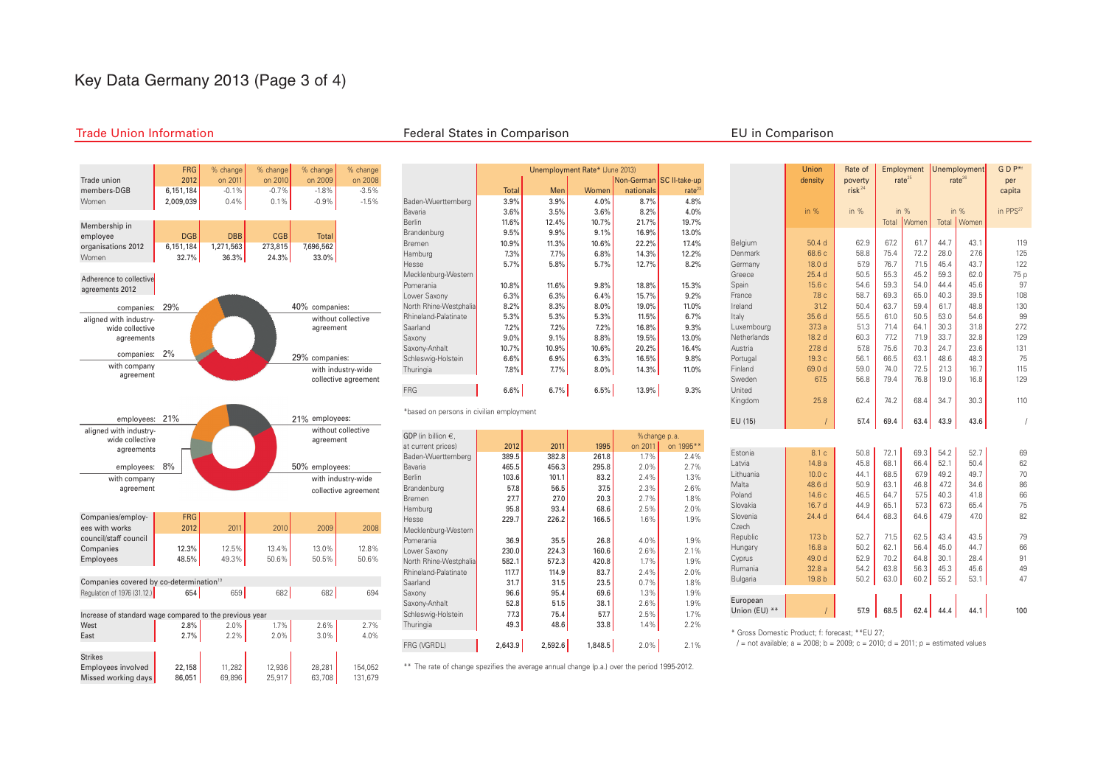# Key Data Germany 2013 (Page 3 of 4)

#### Trade Union Information Federal States in Comparison EU in Comparison

United

Czech

Union Rate of Employment Unemployment G D P<sup>\*f</sup> density poverty rate<sup>25</sup> rate<sup>26</sup> per

in % in % in % in % in PPS<sup>27</sup> Total Women Total Women

Belgium | 50.4 d 62.9 | 67.2 | 61.7 | 44.7 | 43.1 | 119 Denmark | 68.6 c 58.8 75.4 72.2 28.0 27.6 125 Germany | 18.0 d 5.9 76.7 71.5 45.4 43.7 122 Greece | 25.4 d 50.5 55.3 45.2 59.3 62.0 505 Spain | 15.6 c | 54.6 | 59.3 | 54.0 | 44.4 | 45.6 | 97 France **1 7.8 c 58.7 69.3 65.0 40.3 39.5** 108 Ireland **1 31.2 50.4 63.7 59.4 61.7 48.8** 130 Italy 35.6 d 55.5 61.0 50.5 53.0 54.6 99 Luxembourg **6 12.3 a** 51.3 71.4 64.1 30.3 31.8 272 Netherlands 18.2 d 60.3 77.2 71.9 33.7 32.8 129 Austria | 27.8 d | 57.8 | 75.6 | 70.3 | 24.7 | 23.6 | 131 Portugal 19.3 c 56.1 66.5 63.1 48.6 48.3 75 Finland **69.0 d** 59.0 74.0 72.5 21.3 16.7 115 Sweden | 67.5 | 56.8 | 79.4 | 76.8 | 19.0 | 16.8 | 129

Kingdom | 25.8 | 62.4 | 74.2 | 68.4 | 34.7 | 30.3 | 110 EU (15) / 57.4 69.4 63.4 43.9 43.6 /

Estonia 8.1 c 50.8 72.1 69.3 54.2 52.7 69 Latvia 14.8 a 45.8 68.1 66.4 52.1 50.4 62 Lithuania 10.0 c 44.1 68.5 67.9 49.2 49.7 70 Malta 48.6 d 50.9 | 63.1 | 46.8 | 47.2 | 34.6 | 86 Poland 14.6 c 46.5 64.7 57.5 40.3 41.8 66 Slovakia **| 16.7 d 44.9 65.1 | 57.3 | 67.3 | 65.4 |** 75 Slovenia – 24.4 d 64.4 68.3 64.6 47.9 47.0 82

Republic **17.3 b 52.7 71.5 62.5 43.4 43.5** 79 Hungary | 16.8 a 50.2 | 62.1 | 56.4 | 45.0 | 44.7 | 66 Cyprus | 49.0 d | 52.9 | 70.2 | 64.8 | 30.1 | 28.4 | 91 Rumania **| 32.8 a 54.2 | 63.8 | 56.3 | 45.3 | 45.6 | 49** Bulgaria 19.8 b 50.2 63.0 60.2 55.2 53.1 47

- 1

- 1

 $r$ isk  $24$  capita



|                                                                          | Non-German SC II-take-up |       |       |           |                    |
|--------------------------------------------------------------------------|--------------------------|-------|-------|-----------|--------------------|
|                                                                          | <b>Total</b>             | Men   | Women | nationals | rate <sup>23</sup> |
| Baden-Wuerttemberg                                                       | 3.9%                     | 3.9%  | 4.0%  | 8.7%      | 4.8%               |
| Bavaria                                                                  | 3.6%                     | 3.5%  | 3.6%  | 8.2%      | 4.0%               |
| <b>Berlin</b>                                                            | 11.6%                    | 12.4% | 10.7% | 21.7%     | 19.7%              |
| Brandenburg                                                              | 9.5%                     | 9.9%  | 9.1%  | 16.9%     | 13.0%              |
| Bremen                                                                   | 10.9%                    | 11.3% | 10.6% | 22.2%     | 17.4%              |
| Hamburg                                                                  | 7.3%                     | 7.7%  | 6.8%  | 14.3%     | 12.2%              |
| Hesse                                                                    | 5.7%                     | 5.8%  | 5.7%  | 12.7%     | 8.2%               |
| Mecklenburg-Western                                                      |                          |       |       |           |                    |
| Pomerania                                                                | 10.8%                    | 11.6% | 9.8%  | 18.8%     | 15.3%              |
| Lower Saxonv                                                             | 6.3%                     | 6.3%  | 6.4%  | 15.7%     | 9.2%               |
| North Rhine-Westphalia                                                   | 8.2%                     | 8.3%  | 8.0%  | 19.0%     | 11.0%              |
| Rhineland-Palatinate                                                     | 5.3%                     | 5.3%  | 5.3%  | 11.5%     | 6.7%               |
| Saarland                                                                 | 7.2%                     | 7.2%  | 7.2%  | 16.8%     | 9.3%               |
| Saxony                                                                   | 9.0%                     | 9.1%  | 8.8%  | 19.5%     | 13.0%              |
| Saxony-Anhalt                                                            | 10.7%                    | 10.9% | 10.6% | 20.2%     | 16.4%              |
| Schleswig-Holstein                                                       | 6.6%                     | 6.9%  | 6.3%  | 16.5%     | 9.8%               |
| Thuringia                                                                | 7.8%                     | 7.7%  | 8.0%  | 14.3%     | 11.0%              |
| FRG                                                                      | $6.6\%$                  | 6.7%  | 6.5%  | 13.9%     | 9.3%               |
| *based on persons in civilian employment<br>GDP (in billion $\epsilon$ , |                          |       |       |           | %change p.a.       |
| at current prices)                                                       | 2012                     | 2011  | 1995  | on 2011   | on 1995**          |
| Baden-Wuerttemberg                                                       | 389.5                    | 382.8 | 261.8 | 1.7%      | 2.4%               |
| Bavaria                                                                  | 465.5                    | 456.3 | 295.8 | 2.0%      | 2.7%               |
| Berlin                                                                   | 103.6                    | 101.1 | 83.2  | 2.4%      | 1.3%               |
| Brandenburg                                                              | 57.8                     | 56.5  | 37.5  | 2.3%      | 2.6%               |
| Bremen                                                                   | 27.7                     | 27.0  | 20.3  | 2.7%      | 1.8%               |
| Hamburg                                                                  | 95.8                     | 93.4  | 68.6  | 2.5%      | 2.0%               |
| Hesse                                                                    | 229.7                    | 226.2 | 166.5 | 1.6%      | 1.9%               |
| Mecklenburg-Western                                                      |                          |       |       |           |                    |
| Pomerania                                                                | 36.9                     | 35.5  | 26.8  | 4.0%      | 1.9%               |
| Lower Saxony                                                             | 230.0                    | 224.3 | 160.6 | 2.6%      | 2.1%               |
| North Rhine-Westphalia                                                   | 582.1                    | 572.3 | 420.8 | 1.7%      | 1.9%               |
| Rhineland-Palatinate                                                     | 117.7                    | 114.9 | 83.7  | 2.4%      | 2.0%               |
| Saarland                                                                 | 31.7                     | 31.5  | 23.5  | 0.7%      | 1.8%               |
| Saxonv                                                                   | 96.6                     | 95.4  | 69.6  | 1.3%      | 1.9%               |
| Saxony-Anhalt                                                            | 52.8                     | 51.5  | 38.1  | 2.6%      | 1.9%               |
| Schleswig-Holstein                                                       | 77.3                     | 75.4  | 57.7  | 2.5%      | 1.7%               |

Unemployment Rate\* (June 2013)

| European      |  |                       |      |     |
|---------------|--|-----------------------|------|-----|
| Union (EU) ** |  | $57.9$ 68.5 62.4 44.4 | 44.1 | 100 |
|               |  |                       |      |     |

\* Gross Domestic Product; f: forecast; \*\*EU 27;

 $/$  = not available; a = 2008; b = 2009; c = 2010; d = 2011; p = estimated values

FRG (VGRDL) 2,643.9 2,592.6 1,848.5 2.0% 2.1% \*\* The rate of change spezifies the average annual change (p.a.) over the period 1995-2012.

Thuringia 49.3 48.6 33.8 1.4% 2.2%